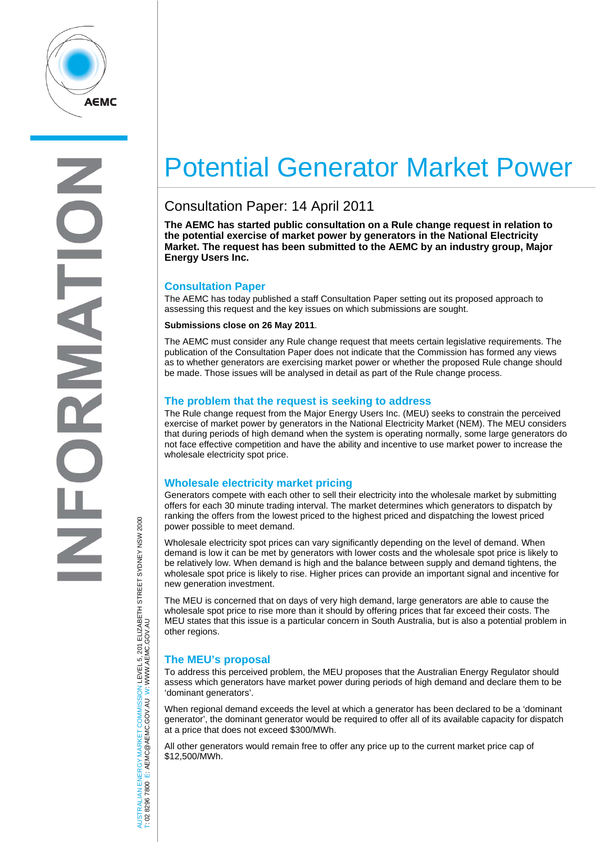

# Potential Generator Market Power

# Consultation Paper: 14 April 2011

**The AEMC has started public consultation on a Rule change request in relation to the potential exercise of market power by generators in the National Electricity Market. The request has been submitted to the AEMC by an industry group, Major Energy Users Inc.** 

# **Consultation Paper**

The AEMC has today published a staff Consultation Paper setting out its proposed approach to assessing this request and the key issues on which submissions are sought.

#### **Submissions close on 26 May 2011**.

The AEMC must consider any Rule change request that meets certain legislative requirements. The publication of the Consultation Paper does not indicate that the Commission has formed any views as to whether generators are exercising market power or whether the proposed Rule change should be made. Those issues will be analysed in detail as part of the Rule change process.

### **The problem that the request is seeking to address**

The Rule change request from the Major Energy Users Inc. (MEU) seeks to constrain the perceived exercise of market power by generators in the National Electricity Market (NEM). The MEU considers that during periods of high demand when the system is operating normally, some large generators do not face effective competition and have the ability and incentive to use market power to increase the wholesale electricity spot price.

### **Wholesale electricity market pricing**

Generators compete with each other to sell their electricity into the wholesale market by submitting offers for each 30 minute trading interval. The market determines which generators to dispatch by ranking the offers from the lowest priced to the highest priced and dispatching the lowest priced power possible to meet demand.

Wholesale electricity spot prices can vary significantly depending on the level of demand. When demand is low it can be met by generators with lower costs and the wholesale spot price is likely to be relatively low. When demand is high and the balance between supply and demand tightens, the wholesale spot price is likely to rise. Higher prices can provide an important signal and incentive for new generation investment.

The MEU is concerned that on days of very high demand, large generators are able to cause the wholesale spot price to rise more than it should by offering prices that far exceed their costs. The MEU states that this issue is a particular concern in South Australia, but is also a potential problem in other regions.

# **The MEU's proposal**

To address this perceived problem, the MEU proposes that the Australian Energy Regulator should assess which generators have market power during periods of high demand and declare them to be 'dominant generators'.

When regional demand exceeds the level at which a generator has been declared to be a 'dominant generator', the dominant generator would be required to offer all of its available capacity for dispatch at a price that does not exceed \$300/MWh.

All other generators would remain free to offer any price up to the current market price cap of \$12,500/MWh.

AUSTRALIAN ENERGY MARKET COMMISSION LEVEL 5, 201 ELIZABETH STREET SYDNEY NSW 2000<br>Γ: 02 2296 7800 E: AEMC@AEMC.GOV.AU W: WWW.AEMC.GOV.AU AUSTRALIAN ENERGY MARKET COMMISSION LEVEL 5, 201 ELIZABETH STREET SYDNEY NSW 2000 W: WWW.AEMC.GOV.AU T: 02 8296 7800 E: AEMC@AEMC.GOV.AU